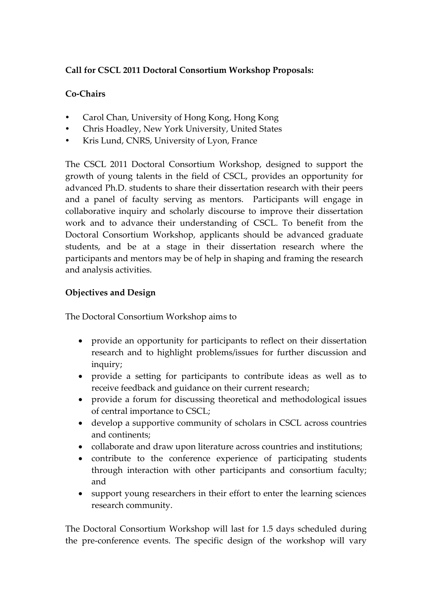# **Call for CSCL 2011 Doctoral Consortium Workshop Proposals:**

# **Co-Chairs**

- Carol Chan, University of Hong Kong, Hong Kong
- Chris Hoadley, New York University, United States
- Kris Lund, CNRS, University of Lyon, France

The CSCL 2011 Doctoral Consortium Workshop, designed to support the growth of young talents in the field of CSCL, provides an opportunity for advanced Ph.D. students to share their dissertation research with their peers and a panel of faculty serving as mentors. Participants will engage in collaborative inquiry and scholarly discourse to improve their dissertation work and to advance their understanding of CSCL. To benefit from the Doctoral Consortium Workshop, applicants should be advanced graduate students, and be at a stage in their dissertation research where the participants and mentors may be of help in shaping and framing the research and analysis activities.

# **Objectives and Design**

The Doctoral Consortium Workshop aims to

- provide an opportunity for participants to reflect on their dissertation research and to highlight problems/issues for further discussion and inquiry;
- provide a setting for participants to contribute ideas as well as to receive feedback and guidance on their current research;
- provide a forum for discussing theoretical and methodological issues of central importance to CSCL;
- develop a supportive community of scholars in CSCL across countries and continents;
- collaborate and draw upon literature across countries and institutions;
- contribute to the conference experience of participating students through interaction with other participants and consortium faculty; and
- support young researchers in their effort to enter the learning sciences research community.

The Doctoral Consortium Workshop will last for 1.5 days scheduled during the pre-conference events. The specific design of the workshop will vary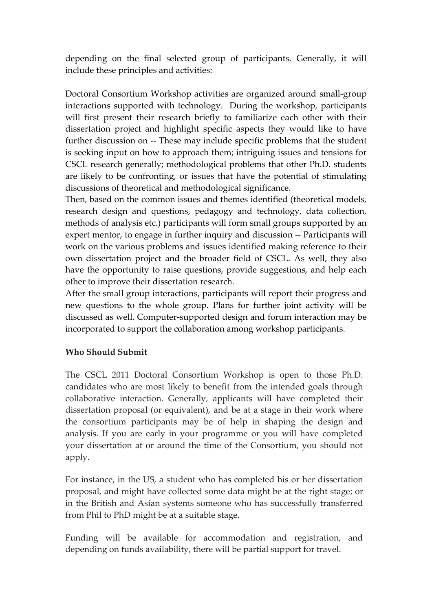depending on the final selected group of participants. Generally, it will include these principles and activities:

Doctoral Consortium Workshop activities are organized around small-group interactions supported with technology. During the workshop, participants will first present their research briefly to familiarize each other with their dissertation project and highlight specific aspects they would like to have further discussion on -- These may include specific problems that the student is seeking input on how to approach them; intriguing issues and tensions for CSCL research generally; methodological problems that other Ph.D. students are likely to be confronting, or issues that have the potential of stimulating discussions of theoretical and methodological significance.

Then, based on the common issues and themes identified (theoretical models, research design and questions, pedagogy and technology, data collection, methods of analysis etc.) participants will form small groups supported by an expert mentor, to engage in further inquiry and discussion -- Participants will work on the various problems and issues identified making reference to their own dissertation project and the broader field of CSCL. As well, they also have the opportunity to raise questions, provide suggestions, and help each other to improve their dissertation research.

After the small group interactions, participants will report their progress and new questions to the whole group. Plans for further joint activity will be discussed as well. Computer-supported design and forum interaction may be incorporated to support the collaboration among workshop participants.

### **Who Should Submit**

The CSCL 2011 Doctoral Consortium Workshop is open to those Ph.D. candidates who are most likely to benefit from the intended goals through collaborative interaction. Generally, applicants will have completed their dissertation proposal (or equivalent), and be at a stage in their work where the consortium participants may be of help in shaping the design and analysis. If you are early in your programme or you will have completed your dissertation at or around the time of the Consortium, you should not apply.

For instance, in the US, a student who has completed his or her dissertation proposal, and might have collected some data might be at the right stage; or in the British and Asian systems someone who has successfully transferred from Phil to PhD might be at a suitable stage.

Funding will be available for accommodation and registration, and depending on funds availability, there will be partial support for travel.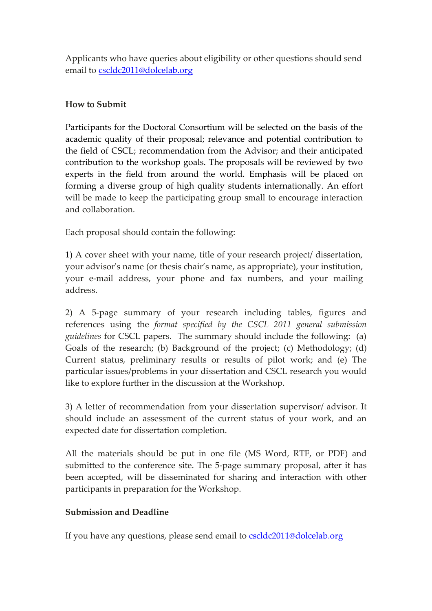Applicants who have queries about eligibility or other questions should send email to [cscldc2011@dolcelab.org](mailto:cscldc2011@dolcelab.org)

### **How to Submit**

Participants for the Doctoral Consortium will be selected on the basis of the academic quality of their proposal; relevance and potential contribution to the field of CSCL; recommendation from the Advisor; and their anticipated contribution to the workshop goals. The proposals will be reviewed by two experts in the field from around the world. Emphasis will be placed on forming a diverse group of high quality students internationally. An effort will be made to keep the participating group small to encourage interaction and collaboration.

Each proposal should contain the following:

1) A cover sheet with your name, title of your research project/ dissertation, your advisor's name (or thesis chair's name, as appropriate), your institution, your e-mail address, your phone and fax numbers, and your mailing address.

2) A 5-page summary of your research including tables, figures and references using the *format specified by the CSCL 2011 general submission guidelines* for CSCL papers. The summary should include the following: (a) Goals of the research; (b) Background of the project; (c) Methodology; (d) Current status, preliminary results or results of pilot work; and (e) The particular issues/problems in your dissertation and CSCL research you would like to explore further in the discussion at the Workshop.

3) A letter of recommendation from your dissertation supervisor/ advisor. It should include an assessment of the current status of your work, and an expected date for dissertation completion.

All the materials should be put in one file (MS Word, RTF, or PDF) and submitted to the conference site. The 5-page summary proposal, after it has been accepted, will be disseminated for sharing and interaction with other participants in preparation for the Workshop.

#### **Submission and Deadline**

If you have any questions, please send email to [cscldc2011@dolcelab.org](mailto:cscldc2011@dolcelab.org)